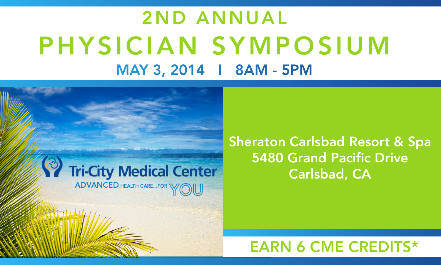# 2ND ANNUAL PHYSICIAN SYMPOSIUM MAY 3, 2014 I 8AM - 5PM



# **Sheraton Carlsbad Resort & Spa** 5480 Grand Pacific Drive Carlsbad, CA

EARN 6 CME CREDITS\*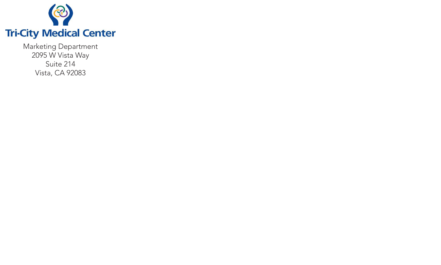

Marketing Department 2095 W Vista Way Suite 214 Vista, CA 92083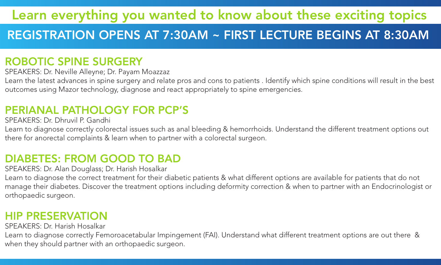# Learn everything you wanted to know about these exciting topics

# REGISTRATION OPENS AT 7:30AM ~ FIRST LECTURE BEGINS AT 8:30AM

#### ROBOTIC SPINE SURGERY

SPEAKERS: Dr. Neville Alleyne; Dr. Payam Moazzaz

Learn the latest advances in spine surgery and relate pros and cons to patients . Identify which spine conditions will result in the best outcomes using Mazor technology, diagnose and react appropriately to spine emergencies.

#### PERIANAL PATHOLOGY FOR PCP'S

SPEAKERS: Dr. Dhruvil P. Gandhi

Learn to diagnose correctly colorectal issues such as anal bleeding & hemorrhoids. Understand the different treatment options out there for anorectal complaints & learn when to partner with a colorectal surgeon.

#### DIABETES: FROM GOOD TO BAD

SPEAKERS: Dr. Alan Douglass; Dr. Harish Hosalkar

Learn to diagnose the correct treatment for their diabetic patients & what different options are available for patients that do not manage their diabetes. Discover the treatment options including deformity correction & when to partner with an Endocrinologist or orthopaedic surgeon.

#### HIP PRESERVATION

SPEAKERS: Dr. Harish Hosalkar

Learn to diagnose correctly Femoroacetabular Impingement (FAI). Understand what different treatment options are out there & when they should partner with an orthopaedic surgeon.